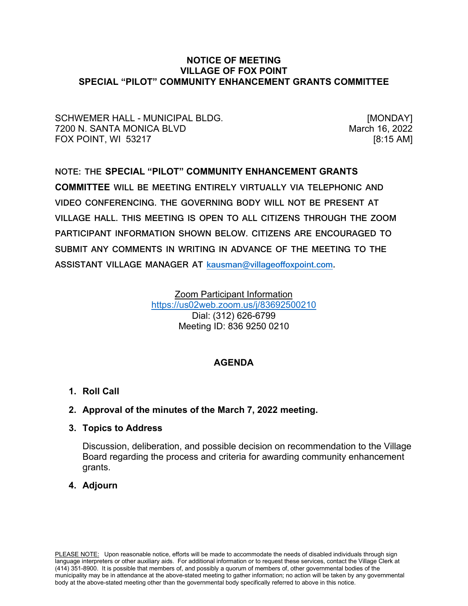### **NOTICE OF MEETING VILLAGE OF FOX POINT SPECIAL "PILOT" COMMUNITY ENHANCEMENT GRANTS COMMITTEE**

SCHWEMER HALL - MUNICIPAL BLDG. [MONDAY] 7200 N. SANTA MONICA BLVD **March 16, 2022** FOX POINT, WI 53217 [8:15 AM]

# **NOTE: THE SPECIAL "PILOT" COMMUNITY ENHANCEMENT GRANTS COMMITTEE WILL BE MEETING ENTIRELY VIRTUALLY VIA TELEPHONIC AND VIDEO CONFERENCING. THE GOVERNING BODY WILL NOT BE PRESENT AT VILLAGE HALL. THIS MEETING IS OPEN TO ALL CITIZENS THROUGH THE ZOOM PARTICIPANT INFORMATION SHOWN BELOW. CITIZENS ARE ENCOURAGED TO SUBMIT ANY COMMENTS IN WRITING IN ADVANCE OF THE MEETING TO THE ASSISTANT VILLAGE MANAGER AT [kausman@villageoffoxpoint.com.](mailto:kausman@villageoffoxpoint.com)**

Zoom Participant Information <https://us02web.zoom.us/j/83692500210> Dial: (312) 626-6799 Meeting ID: 836 9250 0210

# **AGENDA**

**1. Roll Call**

# **2. Approval of the minutes of the March 7, 2022 meeting.**

**3. Topics to Address**

Discussion, deliberation, and possible decision on recommendation to the Village Board regarding the process and criteria for awarding community enhancement grants.

## **4. Adjourn**

PLEASE NOTE: Upon reasonable notice, efforts will be made to accommodate the needs of disabled individuals through sign language interpreters or other auxiliary aids. For additional information or to request these services, contact the Village Clerk at (414) 351-8900. It is possible that members of, and possibly a quorum of members of, other governmental bodies of the municipality may be in attendance at the above-stated meeting to gather information; no action will be taken by any governmental body at the above-stated meeting other than the governmental body specifically referred to above in this notice.